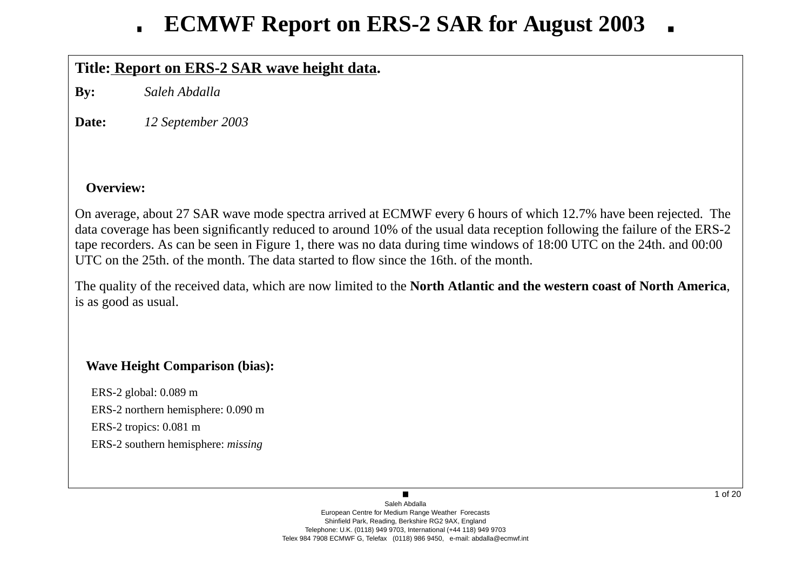## **Title: Report on ERS-2 SAR wa ve height data.**

**By:** *Saleh Abdalla*

**Date:***12 September 2003*

### **Overview:**

On average, about 27 SAR wave mode spectra arrived at ECMWF every 6 hours of which 12.7% have been rejected. The data co verage has been significantly reduced to around 10% of the usual data reception following the failure of the ERS-2 tape recorders. As can be seen in Figure 1, there was no data during time windows of 18:00 UTC on the 24th. and 00:00 UTC on the 25th. of the month. The data started to flow since the 16th. of the month.

The quality of the recei ved data, which are now limited to the **North Atlantic and the western coast of North America**, is as good as usual.

### **Wa ve Height Comparison (bias):**

ERS-2 global: 0.089 m ERS-2 northern hemisphere: 0.090 m ERS-2 tropics: 0.081 m ERS-2 southern hemisphere: *missing*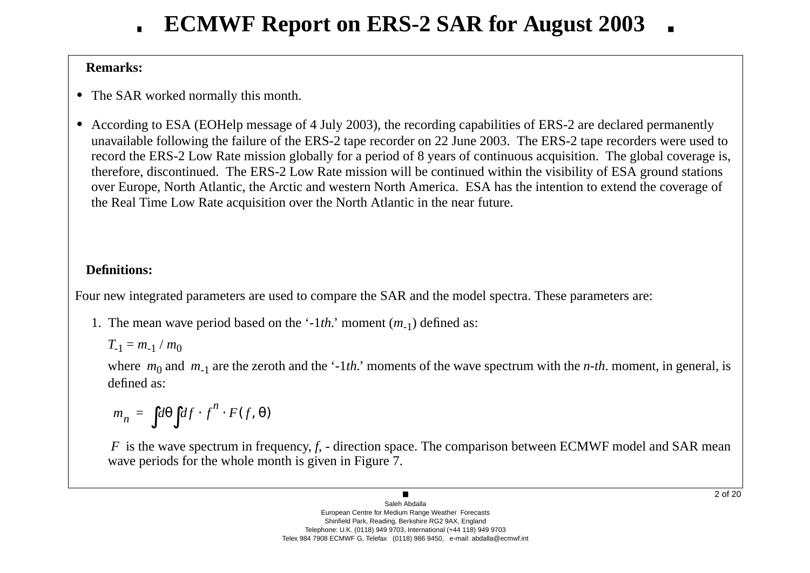### **Remarks:**

- **•** The SAR worked normally this month.
- **•** According to ESA (EOHelp message of 4 July 2003), the recording capabilities of ERS-2 are declared permanently una vailable following the failure of the ERS-2 tape recorder on 22 June 2003. The ERS-2 tape recorders were used to record the ERS-2 Lo w Rate mission globally for a period of 8 years of continuous acquisition. The global co verage is, therefore, discontinued. The ERS-2 Low Rate mission will be continued within the visibility of ESA ground stations o ver Europe, North Atlantic, the Arctic and western North America. ESA has the intention to extend the co verage of the Real Time Low Rate acquisition o ver the North Atlantic in the near future.

## **Definitions:**

Four new integrated parameters are used to compare the SAR and the model spectra. These parameters are:

1. The mean wave period based on the '-1*th*.' moment (*m*<sub>-1</sub>) defined as:

$$
T_{-1}=m_{-1}/m_0
$$

where  $m_0$  and  $m_{-1}$  are the zeroth and the '-1*th*.' moments of the wave spectrum with the *n-th*. moment, in general, is defined as:

$$
m_n = \int d\theta \int df \cdot f^n \cdot F(f, \theta)
$$

*F* is the wave spectrum in frequency, *f*, - direction space. The comparison between ECMWF model and SAR mean wave periods for the whole month is given in Figure 7.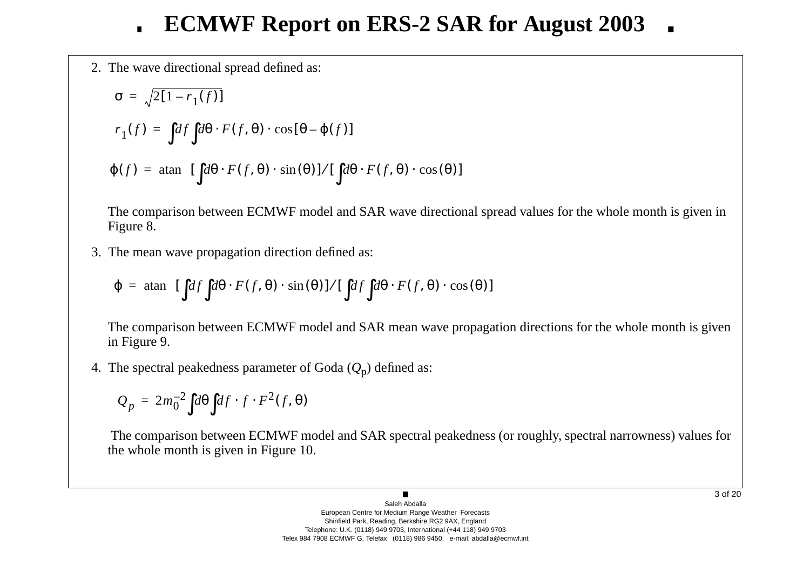2. The w a ve directional spread defined as:

$$
\sigma = \sqrt{2[1 - r_1(f)]}
$$
  
\n
$$
r_1(f) = \int df \int d\theta \cdot F(f, \theta) \cdot \cos[\theta - \varphi(f)]
$$
  
\n
$$
\varphi(f) = \operatorname{atan} \left\{ [\int d\theta \cdot F(f, \theta) \cdot \sin(\theta)] / [\int d\theta \cdot F(f, \theta) \cdot \cos(\theta)] \right\}
$$

The comparison between ECMWF model and SAR wave directional spread values for the whole month is given in Figure 8.

3. The mean w a ve propagation direction defined as:

$$
\varphi = \operatorname{atan} \left\{ [\int df \int d\theta \cdot F(f, \theta) \cdot \sin(\theta)] / [\int df \int d\theta \cdot F(f, \theta) \cdot \cos(\theta)] \right\}
$$

The comparison between ECMWF model and SAR mean wave propagation directions for the whole month is given in Figure 9.

4. The spectral peakedness parameter of Goda ( *Q* <sup>p</sup>) defined as:

$$
Q_p = 2m_0^{-2} \int d\theta \int df \cdot f \cdot F^2(f, \theta)
$$

The comparison between ECMWF model and SAR spectral peakedness (or roughly, spectral narrowness) values for the whole month is gi ven in Figure 10.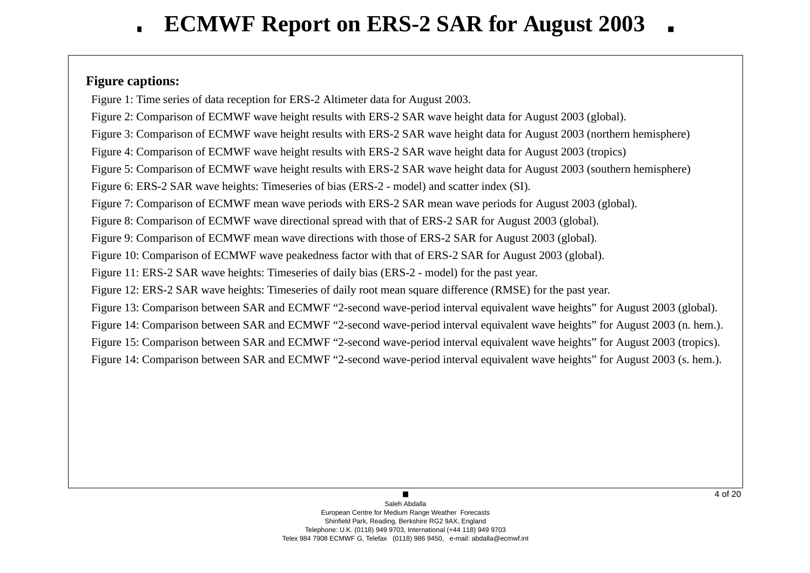### **Figure captions:**

Figure 1: Time series of data reception for ERS-2 Altimeter data for August 2003.

Figure 2: Comparison of ECMWF wave height results with ERS-2 SAR wave height data for August 2003 (global).

Figure 3: Comparison of ECMWF wave height results with ERS-2 SAR wave height data for August 2003 (northern hemisphere)

Figure 4: Comparison of ECMWF wave height results with ERS-2 SAR wave height data for August 2003 (tropics)

Figure 5: Comparison of ECMWF wave height results with ERS-2 SAR wave height data for August 2003 (southern hemisphere)

Figure 6: ERS-2 SAR wave heights: Timeseries of bias (ERS-2 - model) and scatter index (SI).

Figure 7: Comparison of ECMWF mean wave periods with ERS-2 SAR mean wave periods for August 2003 (global).

Figure 8: Comparison of ECMWF wave directional spread with that of ERS-2 SAR for August 2003 (global).

Figure 9: Comparison of ECMWF mean wave directions with those of ERS-2 SAR for August 2003 (global).

Figure 10: Comparison of ECMWF wave peakedness factor with that of ERS-2 SAR for August 2003 (global).

Figure 11: ERS-2 SAR wave heights: Timeseries of daily bias (ERS-2 - model) for the past year.

Figure 12: ERS-2 SAR wave heights: Timeseries of daily root mean square difference (RMSE) for the past year.

Figure 13: Comparison between SAR and ECMWF "2-second wave-period interval equivalent wave heights" for August 2003 (global).

Figure 14: Comparison between SAR and ECMWF "2-second wave-period interval equivalent wave heights" for August 2003 (n. hem.).

Figure 15: Comparison between SAR and ECMWF "2-second wave-period interval equivalent wave heights" for August 2003 (tropics).

Figure 14: Comparison between SAR and ECMWF "2-second wave-period interval equivalent wave heights" for August 2003 (s. hem.).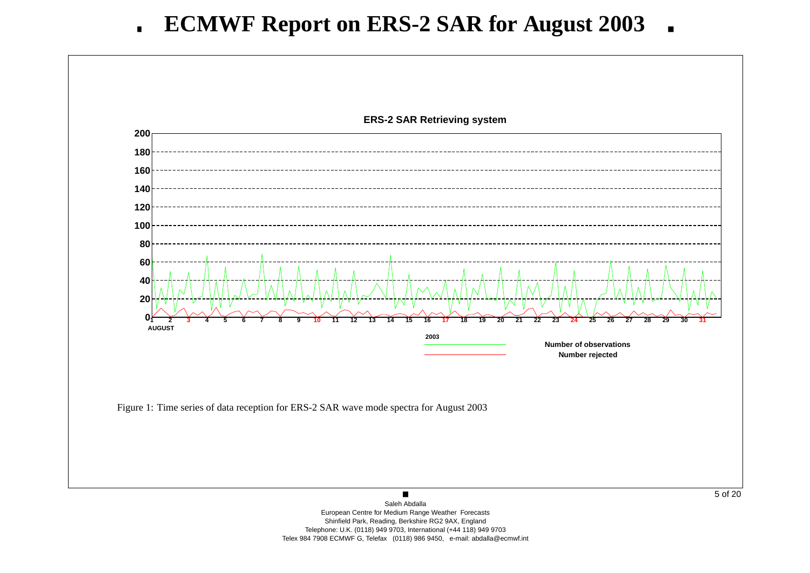

European Centre for Medium Range Weather Forecasts Shinfield Park, Reading, Berkshire RG2 9AX, England Telephone: U.K. (0118) 949 9703, International (+44 118) 949 9703 Telex 984 7908 ECMWF G, Telefax (0118) 986 9450, e-mail: abdalla@ecmwf.int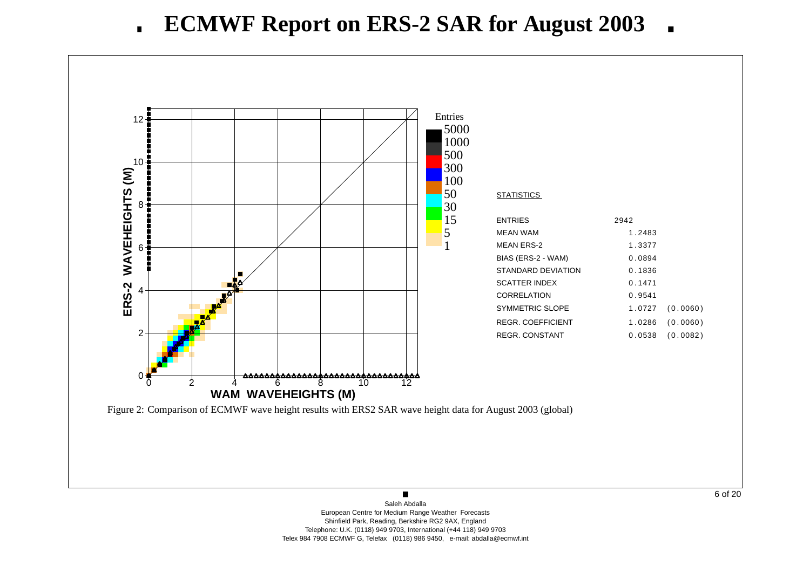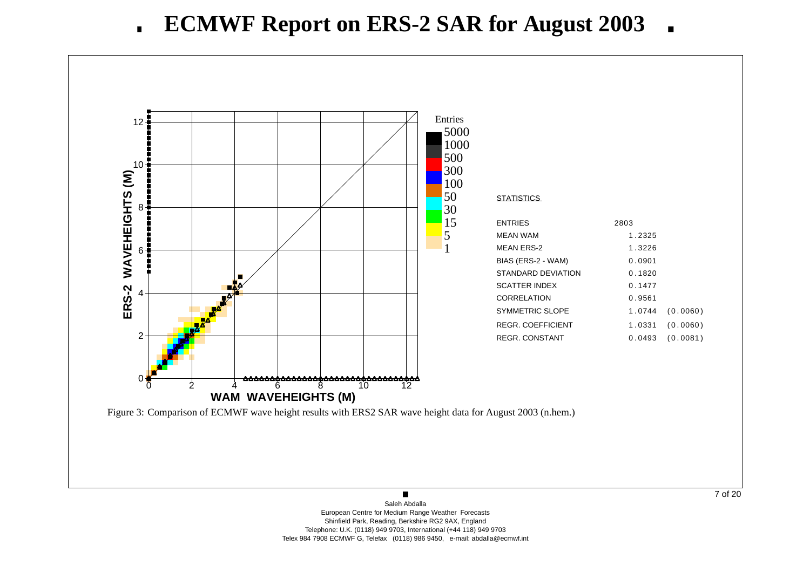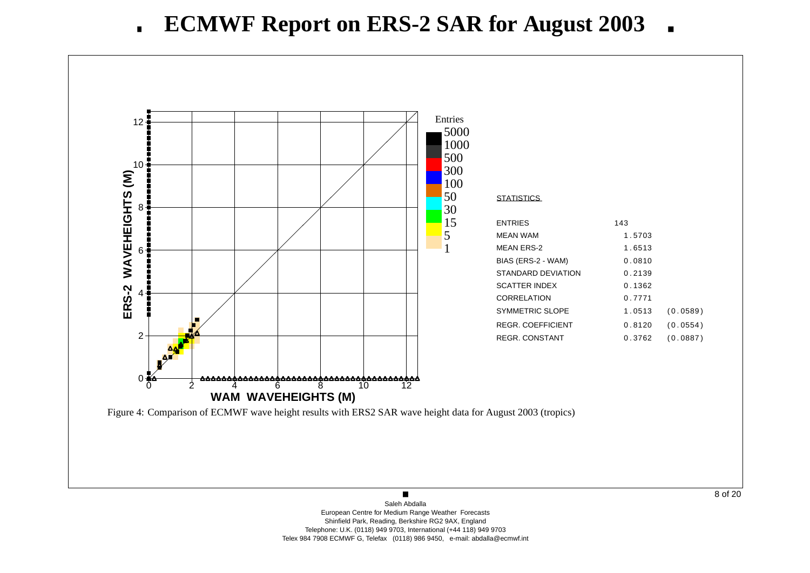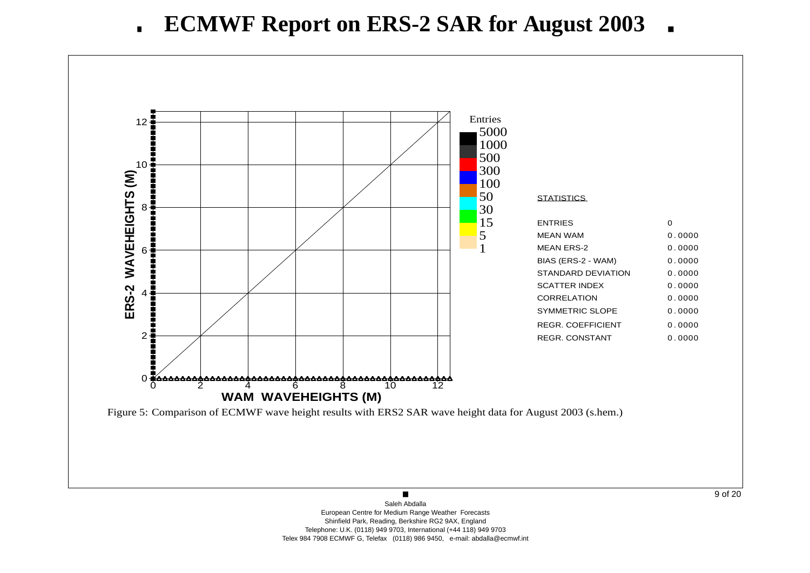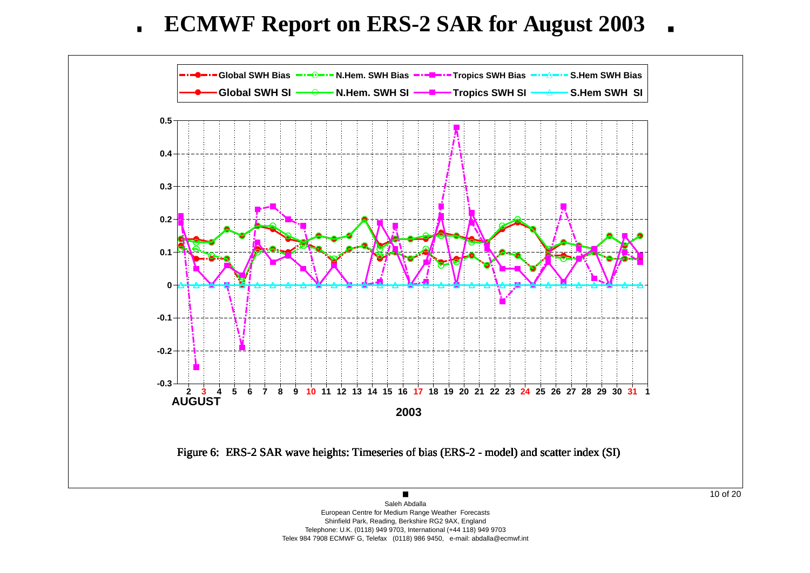**ECMWF Report on ERS-2 SAR for August 2003**  $\blacksquare$ 



Shinfield Park, Reading, Berkshire RG2 9AX, England Telephone: U.K. (0118) 949 9703, International (+44 118) 949 9703 Telex 984 7908 ECMWF G, Telefax (0118) 986 9450, e-mail: abdalla@ecmwf.int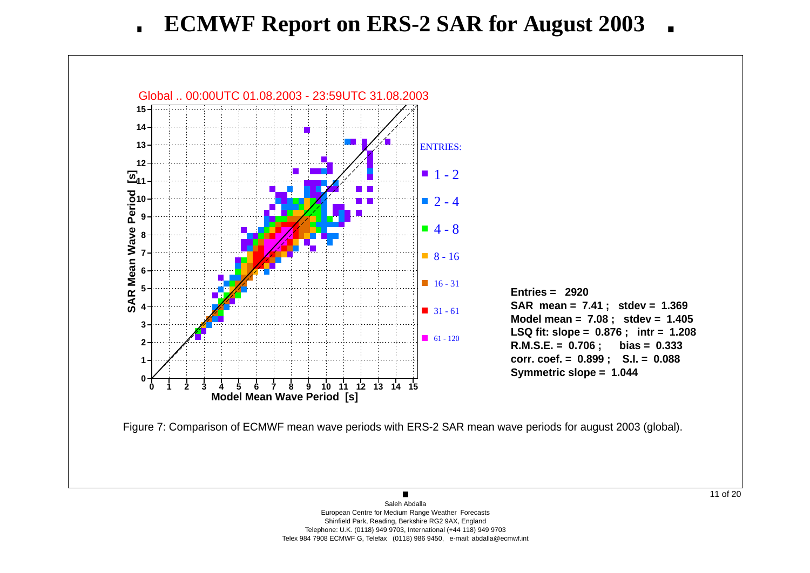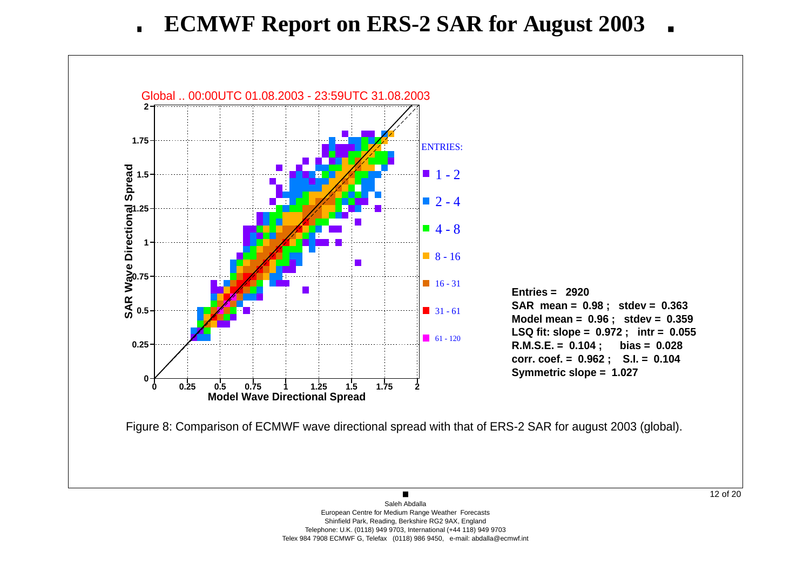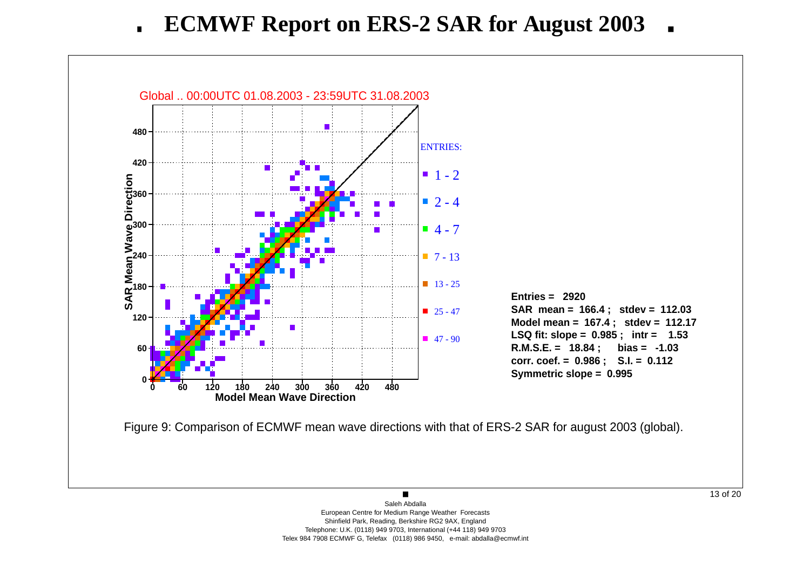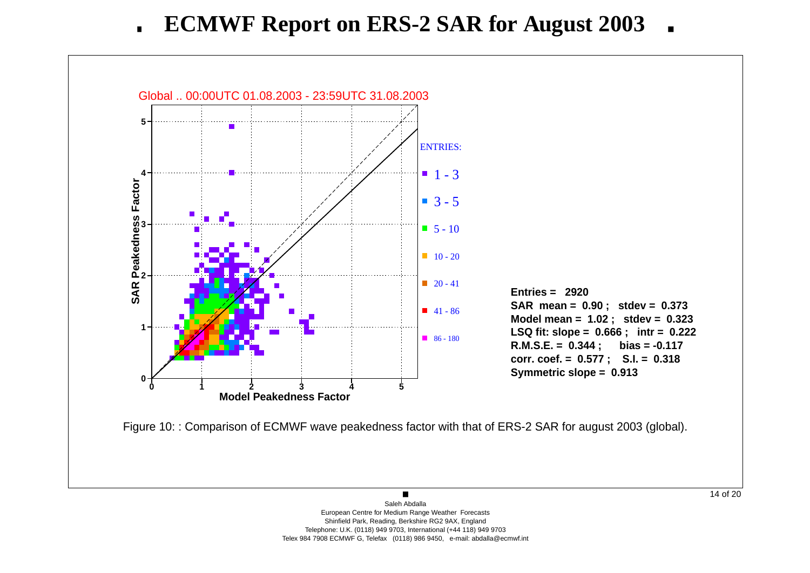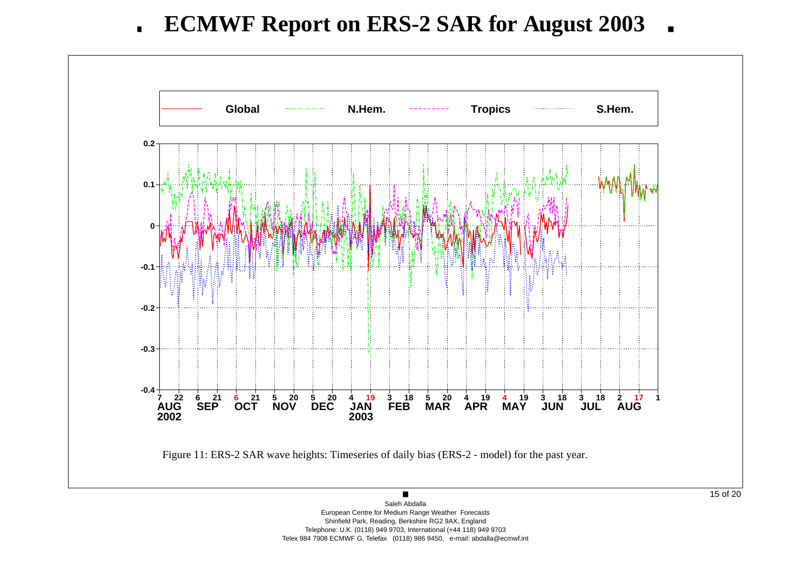

European Centre for Medium Range Weather Forecasts Shinfield Park, Reading, Berkshire RG2 9AX, England Telephone: U.K. (0118) 949 9703, International (+44 118) 949 9703 Telex 984 7908 ECMWF G, Telefax (0118) 986 9450, e-mail: abdalla@ecmwf.int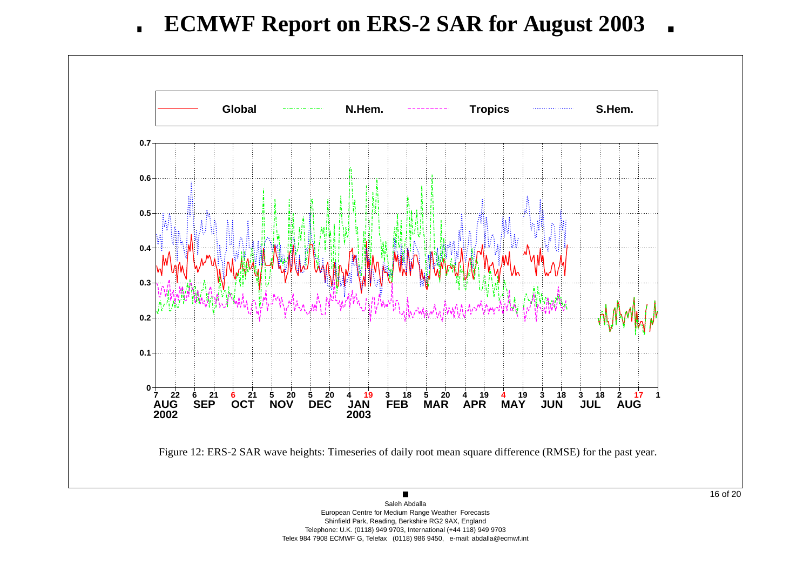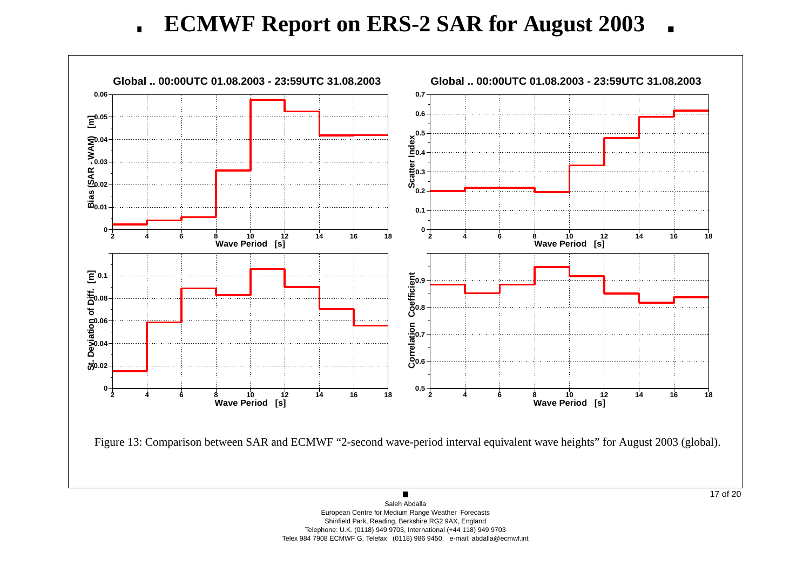**ECMWF Report on ERS-2 SAR for August 2003**  $\mathbf{r}$  $\blacksquare$ 

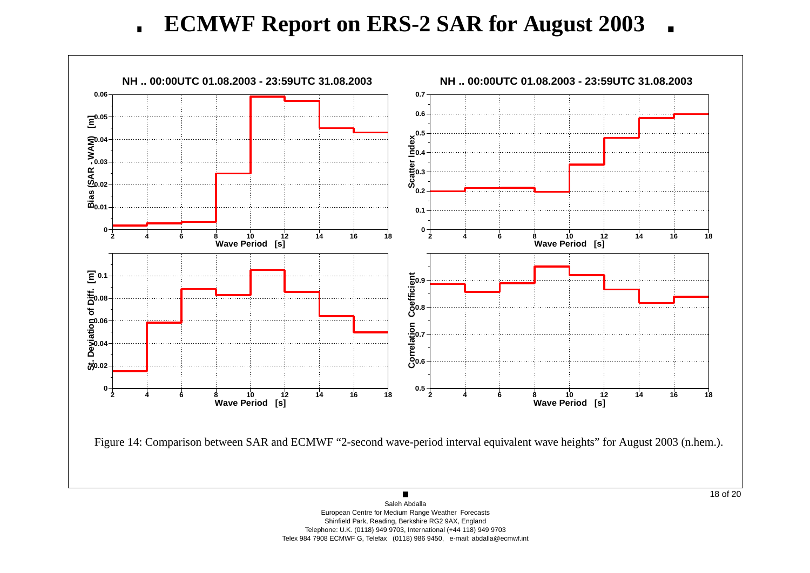**ECMWF Report on ERS-2 SAR for August 2003**  $\mathbf{r}$  $\blacksquare$ 

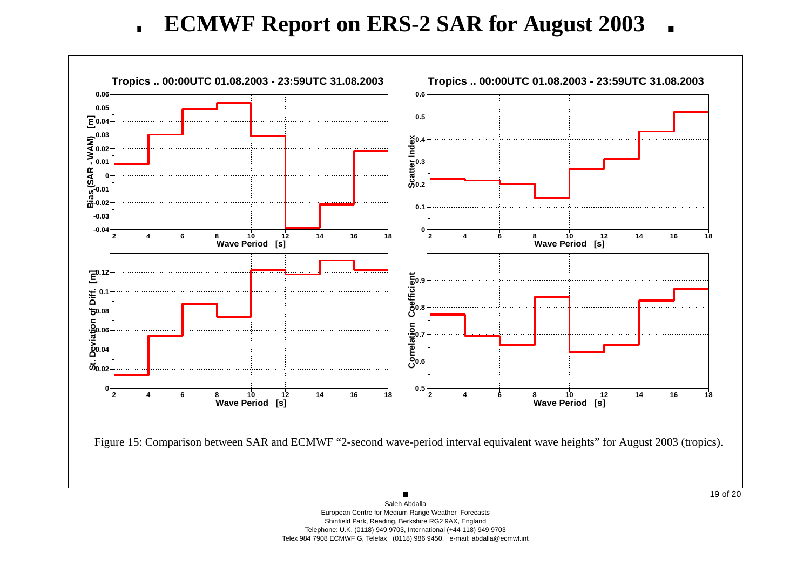**ECMWF Report on ERS-2 SAR for August 2003**  $\mathbf{r}$  $\blacksquare$